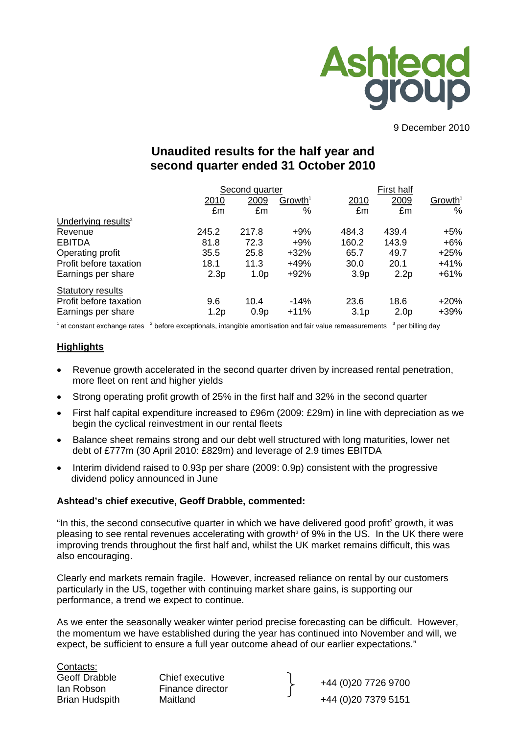

9 December 2010

# **Unaudited results for the half year and second quarter ended 31 October 2010**

|                                 |       | Second quarter   |                        | <b>First half</b> |                  |                     |
|---------------------------------|-------|------------------|------------------------|-------------------|------------------|---------------------|
|                                 | 2010  | 2009             | $G$ rowth <sup>1</sup> | 2010              | 2009             | Growth <sup>1</sup> |
|                                 | £m    | £m               | %                      | £m                | £m               | $\%$                |
| Underlying results <sup>2</sup> |       |                  |                        |                   |                  |                     |
| Revenue                         | 245.2 | 217.8            | $+9%$                  | 484.3             | 439.4            | $+5%$               |
| <b>EBITDA</b>                   | 81.8  | 72.3             | $+9%$                  | 160.2             | 143.9            | $+6\%$              |
| Operating profit                | 35.5  | 25.8             | $+32%$                 | 65.7              | 49.7             | $+25%$              |
| Profit before taxation          | 18.1  | 11.3             | $+49%$                 | 30.0              | 20.1             | +41%                |
| Earnings per share              | 2.3p  | 1.0 <sub>p</sub> | $+92%$                 | 3.9 <sub>p</sub>  | 2.2p             | $+61%$              |
| <b>Statutory results</b>        |       |                  |                        |                   |                  |                     |
| Profit before taxation          | 9.6   | 10.4             | $-14%$                 | 23.6              | 18.6             | $+20%$              |
| Earnings per share              | 1.2p  | 0.9 <sub>p</sub> | $+11%$                 | 3.1 <sub>p</sub>  | 2.0 <sub>p</sub> | $+39%$              |

 $1$  at constant exchange rates  $2$  before exceptionals, intangible amortisation and fair value remeasurements  $3$  per billing day

#### **Highlights**

- Revenue growth accelerated in the second quarter driven by increased rental penetration, more fleet on rent and higher yields
- Strong operating profit growth of 25% in the first half and 32% in the second quarter
- First half capital expenditure increased to £96m (2009: £29m) in line with depreciation as we begin the cyclical reinvestment in our rental fleets
- Balance sheet remains strong and our debt well structured with long maturities, lower net debt of £777m (30 April 2010: £829m) and leverage of 2.9 times EBITDA
- Interim dividend raised to 0.93p per share (2009: 0.9p) consistent with the progressive dividend policy announced in June

#### **Ashtead's chief executive, Geoff Drabble, commented:**

"In this, the second consecutive quarter in which we have delivered good profit<sup>2</sup> growth, it was pleasing to see rental revenues accelerating with growth<sup>3</sup> of 9% in the US. In the UK there were improving trends throughout the first half and, whilst the UK market remains difficult, this was also encouraging.

Clearly end markets remain fragile. However, increased reliance on rental by our customers particularly in the US, together with continuing market share gains, is supporting our performance, a trend we expect to continue.

As we enter the seasonally weaker winter period precise forecasting can be difficult. However, the momentum we have established during the year has continued into November and will, we expect, be sufficient to ensure a full year outcome ahead of our earlier expectations."

<u>Contacts:</u><br>Geoff Drabble

Chief executive

Ian Robson Finance director +44 (0)20 7726 9700 Brian Hudspith Maitland **1986** 144 (0) 20 7379 5151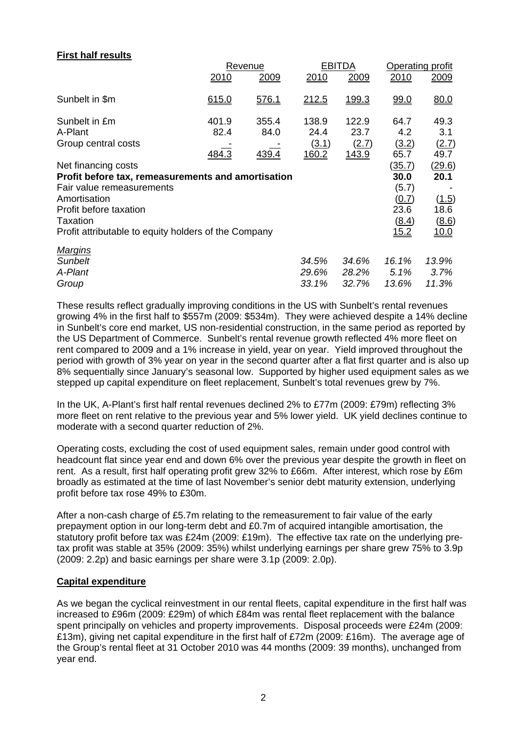## **First half results**

|                                                      |       | Revenue      |       | <b>EBITDA</b> | Operating profit |               |  |
|------------------------------------------------------|-------|--------------|-------|---------------|------------------|---------------|--|
|                                                      | 2010  | 2009         | 2010  | 2009          | 2010             | 2009          |  |
| Sunbelt in \$m                                       | 615.0 | 576.1        | 212.5 | 199.3         | 99.0             | 80.0          |  |
| Sunbelt in £m                                        | 401.9 | 355.4        | 138.9 | 122.9         | 64.7             | 49.3          |  |
| A-Plant                                              | 82.4  | 84.0         | 24.4  | 23.7          | 4.2              | 3.1           |  |
| Group central costs                                  |       |              | (3.1) | (2.7)         | (3.2)            | (2.7)         |  |
|                                                      | 484.3 | <u>439.4</u> | 160.2 | 143.9         | 65.7             | 49.7          |  |
| Net financing costs                                  |       |              |       |               | <u>(35.7)</u>    | <u>(29.6)</u> |  |
| Profit before tax, remeasurements and amortisation   |       |              |       |               | 30.0             | 20.1          |  |
| Fair value remeasurements                            |       |              |       |               | (5.7)            |               |  |
| Amortisation                                         |       |              |       |               | (0.7)            | (1.5)         |  |
| Profit before taxation                               |       |              |       |               | 23.6             | 18.6          |  |
| <b>Taxation</b>                                      |       |              |       |               | (8.4)            | (8.6)         |  |
| Profit attributable to equity holders of the Company |       |              |       |               | <u>15.2</u>      | <u>10.0</u>   |  |
| <b>Margins</b>                                       |       |              |       |               |                  |               |  |
| <b>Sunbelt</b>                                       |       |              | 34.5% | 34.6%         | 16.1%            | 13.9%         |  |
| A-Plant                                              |       |              | 29.6% | 28.2%         | 5.1%             | 3.7%          |  |
| Group                                                |       |              | 33.1% | 32.7%         | 13.6%            | 11.3%         |  |

These results reflect gradually improving conditions in the US with Sunbelt's rental revenues growing 4% in the first half to \$557m (2009: \$534m). They were achieved despite a 14% decline in Sunbelt's core end market, US non-residential construction, in the same period as reported by the US Department of Commerce. Sunbelt's rental revenue growth reflected 4% more fleet on rent compared to 2009 and a 1% increase in yield, year on year. Yield improved throughout the period with growth of 3% year on year in the second quarter after a flat first quarter and is also up 8% sequentially since January's seasonal low. Supported by higher used equipment sales as we stepped up capital expenditure on fleet replacement, Sunbelt's total revenues grew by 7%.

In the UK, A-Plant's first half rental revenues declined 2% to £77m (2009: £79m) reflecting 3% more fleet on rent relative to the previous year and 5% lower yield. UK yield declines continue to moderate with a second quarter reduction of 2%.

Operating costs, excluding the cost of used equipment sales, remain under good control with headcount flat since year end and down 6% over the previous year despite the growth in fleet on rent. As a result, first half operating profit grew 32% to £66m. After interest, which rose by £6m broadly as estimated at the time of last November's senior debt maturity extension, underlying profit before tax rose 49% to £30m.

After a non-cash charge of £5.7m relating to the remeasurement to fair value of the early prepayment option in our long-term debt and £0.7m of acquired intangible amortisation, the statutory profit before tax was £24m (2009: £19m). The effective tax rate on the underlying pretax profit was stable at 35% (2009: 35%) whilst underlying earnings per share grew 75% to 3.9p (2009: 2.2p) and basic earnings per share were 3.1p (2009: 2.0p).

#### **Capital expenditure**

As we began the cyclical reinvestment in our rental fleets, capital expenditure in the first half was increased to £96m (2009: £29m) of which £84m was rental fleet replacement with the balance spent principally on vehicles and property improvements. Disposal proceeds were £24m (2009: £13m), giving net capital expenditure in the first half of £72m (2009: £16m). The average age of the Group's rental fleet at 31 October 2010 was 44 months (2009: 39 months), unchanged from year end.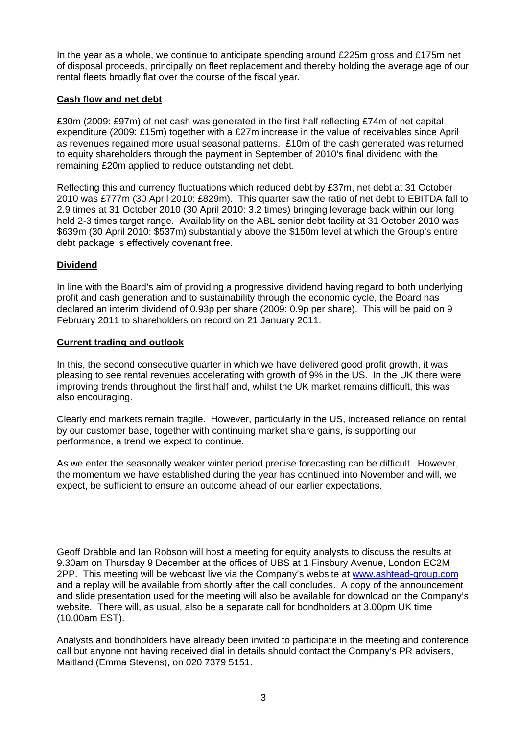In the year as a whole, we continue to anticipate spending around £225m gross and £175m net of disposal proceeds, principally on fleet replacement and thereby holding the average age of our rental fleets broadly flat over the course of the fiscal year.

## **Cash flow and net debt**

£30m (2009: £97m) of net cash was generated in the first half reflecting £74m of net capital expenditure (2009: £15m) together with a £27m increase in the value of receivables since April as revenues regained more usual seasonal patterns. £10m of the cash generated was returned to equity shareholders through the payment in September of 2010's final dividend with the remaining £20m applied to reduce outstanding net debt.

Reflecting this and currency fluctuations which reduced debt by £37m, net debt at 31 October 2010 was £777m (30 April 2010: £829m). This quarter saw the ratio of net debt to EBITDA fall to 2.9 times at 31 October 2010 (30 April 2010: 3.2 times) bringing leverage back within our long held 2-3 times target range. Availability on the ABL senior debt facility at 31 October 2010 was \$639m (30 April 2010: \$537m) substantially above the \$150m level at which the Group's entire debt package is effectively covenant free.

## **Dividend**

In line with the Board's aim of providing a progressive dividend having regard to both underlying profit and cash generation and to sustainability through the economic cycle, the Board has declared an interim dividend of 0.93p per share (2009: 0.9p per share). This will be paid on 9 February 2011 to shareholders on record on 21 January 2011.

## **Current trading and outlook**

In this, the second consecutive quarter in which we have delivered good profit growth, it was pleasing to see rental revenues accelerating with growth of 9% in the US. In the UK there were improving trends throughout the first half and, whilst the UK market remains difficult, this was also encouraging.

Clearly end markets remain fragile. However, particularly in the US, increased reliance on rental by our customer base, together with continuing market share gains, is supporting our performance, a trend we expect to continue.

As we enter the seasonally weaker winter period precise forecasting can be difficult. However, the momentum we have established during the year has continued into November and will, we expect, be sufficient to ensure an outcome ahead of our earlier expectations.

Geoff Drabble and Ian Robson will host a meeting for equity analysts to discuss the results at 9.30am on Thursday 9 December at the offices of UBS at 1 Finsbury Avenue, London EC2M 2PP. This meeting will be webcast live via the Company's website at [www.ashtead-group.com](http://www.ashtead-group.com/) and a replay will be available from shortly after the call concludes. A copy of the announcement and slide presentation used for the meeting will also be available for download on the Company's website. There will, as usual, also be a separate call for bondholders at 3.00pm UK time (10.00am EST).

Analysts and bondholders have already been invited to participate in the meeting and conference call but anyone not having received dial in details should contact the Company's PR advisers, Maitland (Emma Stevens), on 020 7379 5151.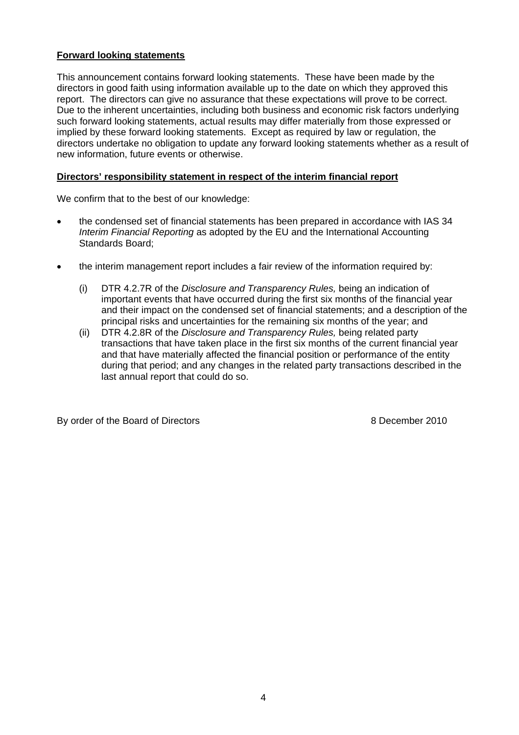## **Forward looking statements**

This announcement contains forward looking statements. These have been made by the directors in good faith using information available up to the date on which they approved this report. The directors can give no assurance that these expectations will prove to be correct. Due to the inherent uncertainties, including both business and economic risk factors underlying such forward looking statements, actual results may differ materially from those expressed or implied by these forward looking statements. Except as required by law or regulation, the directors undertake no obligation to update any forward looking statements whether as a result of new information, future events or otherwise.

#### **Directors' responsibility statement in respect of the interim financial report**

We confirm that to the best of our knowledge:

- the condensed set of financial statements has been prepared in accordance with IAS 34 *Interim Financial Reporting* as adopted by the EU and the International Accounting Standards Board;
- the interim management report includes a fair review of the information required by:
	- (i) DTR 4.2.7R of the *Disclosure and Transparency Rules,* being an indication of important events that have occurred during the first six months of the financial year and their impact on the condensed set of financial statements; and a description of the principal risks and uncertainties for the remaining six months of the year; and
	- (ii) DTR 4.2.8R of the *Disclosure and Transparency Rules,* being related party transactions that have taken place in the first six months of the current financial year and that have materially affected the financial position or performance of the entity during that period; and any changes in the related party transactions described in the last annual report that could do so.

By order of the Board of Directors and a set of the Board of Directors and a set of the Board of Directors and  $\frac{1}{2}$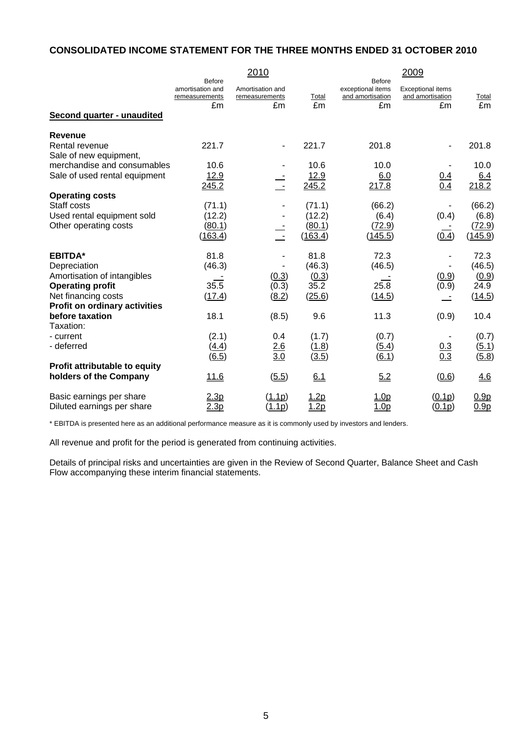## **CONSOLIDATED INCOME STATEMENT FOR THE THREE MONTHS ENDED 31 OCTOBER 2010**

|                                                             |                                                           | 2010                                     |                     |                                                              | 2009                                               |                                      |
|-------------------------------------------------------------|-----------------------------------------------------------|------------------------------------------|---------------------|--------------------------------------------------------------|----------------------------------------------------|--------------------------------------|
| Second quarter - unaudited                                  | <b>Before</b><br>amortisation and<br>remeasurements<br>£m | Amortisation and<br>remeasurements<br>£m | Total<br>£m         | <b>Before</b><br>exceptional items<br>and amortisation<br>£m | <b>Exceptional items</b><br>and amortisation<br>£m | Total<br>£m                          |
|                                                             |                                                           |                                          |                     |                                                              |                                                    |                                      |
| <b>Revenue</b><br>Rental revenue<br>Sale of new equipment,  | 221.7                                                     | $\overline{\phantom{a}}$                 | 221.7               | 201.8                                                        |                                                    | 201.8                                |
| merchandise and consumables                                 | 10.6                                                      |                                          | 10.6                | 10.0                                                         |                                                    | 10.0                                 |
| Sale of used rental equipment                               | 12.9<br>245.2                                             | $\sim$                                   | 12.9<br>245.2       | 6.0<br>217.8                                                 | $\frac{0.4}{0.4}$                                  | 6.4<br>218.2                         |
| <b>Operating costs</b>                                      |                                                           |                                          |                     |                                                              |                                                    |                                      |
| Staff costs                                                 | (71.1)                                                    |                                          | (71.1)              | (66.2)                                                       |                                                    | (66.2)                               |
| Used rental equipment sold<br>Other operating costs         | (12.2)<br>(80.1)                                          |                                          | (12.2)<br>(80.1)    | (6.4)<br>(72.9)                                              | (0.4)                                              | (6.8)<br>(72.9)                      |
|                                                             | (163.4)                                                   | $\sim$ $-$                               | (163.4)             | (145.5)                                                      | (0.4)                                              | (145.9)                              |
| <b>EBITDA*</b>                                              | 81.8                                                      |                                          | 81.8                | 72.3                                                         |                                                    | 72.3                                 |
| Depreciation                                                | (46.3)                                                    |                                          | (46.3)              | (46.5)                                                       |                                                    | (46.5)                               |
| Amortisation of intangibles                                 |                                                           | (0.3)                                    | (0.3)               |                                                              | (0.9)                                              | (0.9)                                |
| <b>Operating profit</b>                                     | 35.5                                                      | (0.3)                                    | 35.2                | 25.8                                                         | (0.9)                                              | 24.9                                 |
| Net financing costs<br><b>Profit on ordinary activities</b> | (17.4)                                                    | (8.2)                                    | (25.6)              | (14.5)                                                       |                                                    | (14.5)                               |
| before taxation                                             | 18.1                                                      | (8.5)                                    | 9.6                 | 11.3                                                         | (0.9)                                              | 10.4                                 |
| Taxation:                                                   |                                                           |                                          |                     |                                                              |                                                    |                                      |
| - current                                                   | (2.1)                                                     | 0.4                                      | (1.7)               | (0.7)                                                        |                                                    | (0.7)                                |
| - deferred                                                  | (4.4)                                                     | $\frac{2.6}{3.0}$                        | (1.8)               | (5.4)                                                        | $\frac{0.3}{0.3}$                                  | (5.1)                                |
| Profit attributable to equity                               | (6.5)                                                     |                                          | (3.5)               | (6.1)                                                        |                                                    | (5.8)                                |
| holders of the Company                                      | 11.6                                                      | (5.5)                                    | 6.1                 | 5.2                                                          | (0.6)                                              | 4.6                                  |
| Basic earnings per share<br>Diluted earnings per share      | 2.3p<br>2.3p                                              | (1.1p)<br>(1.1p)                         | <u>1.2p</u><br>1.2p | 1.0 <sub>p</sub><br>1.0 <sub>p</sub>                         | (0.1p)<br>(0.1p)                                   | 0.9 <sub>p</sub><br>0.9 <sub>p</sub> |

\* EBITDA is presented here as an additional performance measure as it is commonly used by investors and lenders.

All revenue and profit for the period is generated from continuing activities.

Details of principal risks and uncertainties are given in the Review of Second Quarter, Balance Sheet and Cash Flow accompanying these interim financial statements.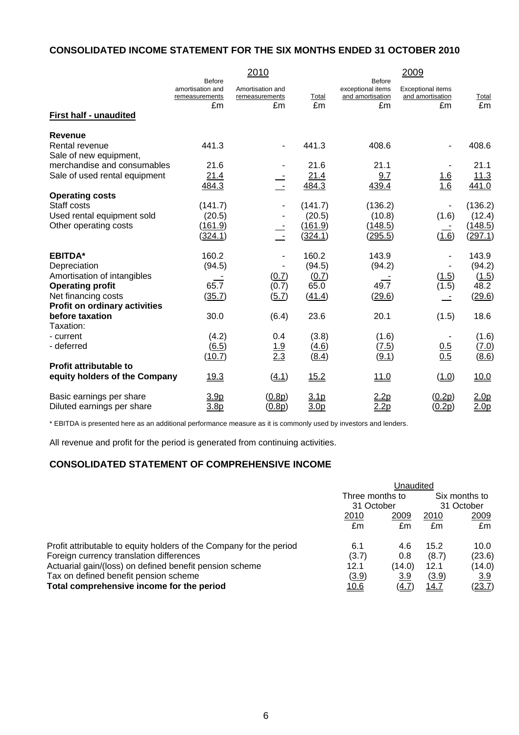## **CONSOLIDATED INCOME STATEMENT FOR THE SIX MONTHS ENDED 31 OCTOBER 2010**

|                                                            |                                                           | 2010                                     |                          |                                                              | 2009                                               |                                      |
|------------------------------------------------------------|-----------------------------------------------------------|------------------------------------------|--------------------------|--------------------------------------------------------------|----------------------------------------------------|--------------------------------------|
| <b>First half - unaudited</b>                              | <b>Before</b><br>amortisation and<br>remeasurements<br>£m | Amortisation and<br>remeasurements<br>£m | Total<br>£m              | <b>Before</b><br>exceptional items<br>and amortisation<br>£m | <b>Exceptional items</b><br>and amortisation<br>£m | Total<br>£m                          |
|                                                            |                                                           |                                          |                          |                                                              |                                                    |                                      |
| <b>Revenue</b><br>Rental revenue<br>Sale of new equipment, | 441.3                                                     |                                          | 441.3                    | 408.6                                                        |                                                    | 408.6                                |
| merchandise and consumables                                | 21.6                                                      |                                          | 21.6                     | 21.1                                                         |                                                    | 21.1                                 |
| Sale of used rental equipment                              | 21.4<br>484.3                                             | $\mathbb{Z}^2$                           | 21.4<br>484.3            | 9.7<br>439.4                                                 | $\frac{1.6}{1.6}$                                  | 11.3<br>441.0                        |
| <b>Operating costs</b>                                     |                                                           |                                          |                          |                                                              |                                                    |                                      |
| Staff costs                                                | (141.7)                                                   |                                          | (141.7)                  | (136.2)                                                      |                                                    | (136.2)                              |
| Used rental equipment sold                                 | (20.5)                                                    |                                          | (20.5)                   | (10.8)                                                       | (1.6)                                              | (12.4)                               |
| Other operating costs                                      | (161.9)<br>(324.1)                                        | $\sim$ $-$                               | (161.9)<br>(324.1)       | (148.5)<br>(295.5)                                           | (1.6)                                              | (148.5)<br>(297.1)                   |
| <b>EBITDA*</b>                                             | 160.2                                                     |                                          | 160.2                    | 143.9                                                        |                                                    | 143.9                                |
| Depreciation                                               | (94.5)                                                    |                                          | (94.5)                   | (94.2)                                                       |                                                    | (94.2)                               |
| Amortisation of intangibles                                |                                                           | (0.7)                                    | (0.7)                    |                                                              | (1.5)                                              | (1.5)                                |
| <b>Operating profit</b>                                    | 65.7                                                      | (0.7)                                    | 65.0                     | 49.7                                                         | (1.5)                                              | 48.2                                 |
| Net financing costs                                        | (35.7)                                                    | (5.7)                                    | (41.4)                   | (29.6)                                                       |                                                    | (29.6)                               |
| <b>Profit on ordinary activities</b>                       | 30.0                                                      |                                          |                          |                                                              |                                                    |                                      |
| before taxation<br>Taxation:                               |                                                           | (6.4)                                    | 23.6                     | 20.1                                                         | (1.5)                                              | 18.6                                 |
| - current                                                  | (4.2)                                                     | 0.4                                      | (3.8)                    | (1.6)                                                        |                                                    | (1.6)                                |
| - deferred                                                 | (6.5)                                                     |                                          | (4.6)                    | (7.5)                                                        |                                                    | (7.0)                                |
|                                                            | (10.7)                                                    | $\frac{1.9}{2.3}$                        | (8.4)                    | (9.1)                                                        | $\frac{0.5}{0.5}$                                  | (8.6)                                |
| <b>Profit attributable to</b>                              |                                                           |                                          |                          |                                                              |                                                    |                                      |
| equity holders of the Company                              | <u>19.3</u>                                               | (4.1)                                    | 15.2                     | 11.0                                                         | (1.0)                                              | <u>10.0</u>                          |
| Basic earnings per share<br>Diluted earnings per share     | 3.9p<br>3.8p                                              | (0.8p)<br>(0.8p)                         | 3.1p<br>3.0 <sub>p</sub> | 2.2p<br>2.2p                                                 | (0.2p)<br>(0.2p)                                   | 2.0 <sub>p</sub><br>2.0 <sub>p</sub> |

\* EBITDA is presented here as an additional performance measure as it is commonly used by investors and lenders.

All revenue and profit for the period is generated from continuing activities.

# **CONSOLIDATED STATEMENT OF COMPREHENSIVE INCOME**

|                                                                     | Unaudited       |            |             |               |  |
|---------------------------------------------------------------------|-----------------|------------|-------------|---------------|--|
|                                                                     | Three months to |            |             | Six months to |  |
|                                                                     | 31 October      |            | 31 October  |               |  |
|                                                                     | 2010            | 2009       | 2010        | 2009          |  |
|                                                                     | £m              | £m         | £m          | £m            |  |
| Profit attributable to equity holders of the Company for the period | 6.1             | 4.6        | 15.2        | 10.0          |  |
| Foreign currency translation differences                            | (3.7)           | 0.8        | (8.7)       | (23.6)        |  |
| Actuarial gain/(loss) on defined benefit pension scheme             | 12.1            | (14.0)     | 12.1        | (14.0)        |  |
| Tax on defined benefit pension scheme                               | (3.9)           | <u>3.9</u> | (3.9)       | <u>3.9</u>    |  |
| Total comprehensive income for the period                           | <u> 10.6</u>    | (4.7)      | <u>14.7</u> | (23.7)        |  |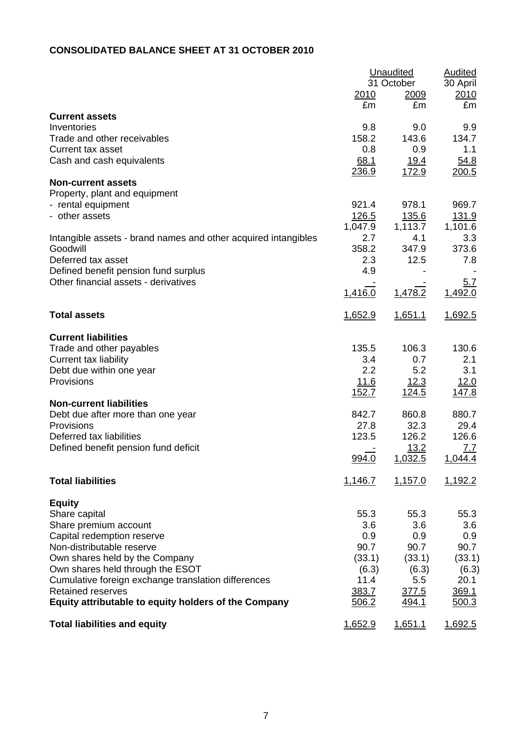# **CONSOLIDATED BALANCE SHEET AT 31 OCTOBER 2010**

|                                                                                  |                | Unaudited<br>31 October | <b>Audited</b><br>30 April |
|----------------------------------------------------------------------------------|----------------|-------------------------|----------------------------|
|                                                                                  | 2010<br>£m     | <u>2009</u><br>£m       | <u> 2010</u><br>£m         |
| <b>Current assets</b><br>Inventories                                             | 9.8            |                         |                            |
| Trade and other receivables                                                      | 158.2          | 9.0<br>143.6            | 9.9<br>134.7               |
| Current tax asset                                                                | 0.8            | 0.9                     | 1.1                        |
| Cash and cash equivalents                                                        | 68.1           | <u>19.4</u>             | 54.8                       |
| <b>Non-current assets</b>                                                        | 236.9          | 172.9                   | <u> 200.5</u>              |
| Property, plant and equipment                                                    |                |                         |                            |
| - rental equipment                                                               | 921.4          | 978.1                   | 969.7                      |
| - other assets                                                                   | <u>126.5</u>   | 135.6                   | <u>131.9</u>               |
| Intangible assets - brand names and other acquired intangibles                   | 1,047.9<br>2.7 | 1,113.7<br>4.1          | 1,101.6<br>3.3             |
| Goodwill                                                                         | 358.2          | 347.9                   | 373.6                      |
| Deferred tax asset                                                               | 2.3            | 12.5                    | 7.8                        |
| Defined benefit pension fund surplus                                             | 4.9            |                         |                            |
| Other financial assets - derivatives                                             | 1,416.0        | 1,478.2                 | 5.7<br>1,492.0             |
|                                                                                  |                |                         |                            |
| <b>Total assets</b>                                                              | 1,652.9        | 1,651.1                 | 1,692.5                    |
| <b>Current liabilities</b>                                                       |                |                         |                            |
| Trade and other payables                                                         | 135.5          | 106.3                   | 130.6                      |
| <b>Current tax liability</b>                                                     | 3.4<br>2.2     | 0.7<br>5.2              | 2.1<br>3.1                 |
| Debt due within one year<br>Provisions                                           | <u>11.6</u>    | <u>12.3</u>             | 12.0                       |
|                                                                                  | <u>152.7</u>   | <u>124.5</u>            | <u>147.8</u>               |
| <b>Non-current liabilities</b>                                                   |                |                         |                            |
| Debt due after more than one year<br>Provisions                                  | 842.7<br>27.8  | 860.8<br>32.3           | 880.7<br>29.4              |
| Deferred tax liabilities                                                         | 123.5          | 126.2                   | 126.6                      |
| Defined benefit pension fund deficit                                             |                | 13.2                    | 7.7                        |
|                                                                                  | 994.0          | 1,032.5                 | 1,044.4                    |
| <b>Total liabilities</b>                                                         | 1,146.7        | 1,157.0                 | 1,192.2                    |
| <b>Equity</b>                                                                    |                |                         |                            |
| Share capital                                                                    | 55.3           | 55.3                    | 55.3                       |
| Share premium account                                                            | 3.6<br>0.9     | 3.6<br>0.9              | 3.6<br>0.9                 |
| Capital redemption reserve<br>Non-distributable reserve                          | 90.7           | 90.7                    | 90.7                       |
| Own shares held by the Company                                                   | (33.1)         | (33.1)                  | (33.1)                     |
| Own shares held through the ESOT                                                 | (6.3)          | (6.3)                   | (6.3)                      |
| Cumulative foreign exchange translation differences                              | 11.4           | 5.5                     | 20.1                       |
| <b>Retained reserves</b><br>Equity attributable to equity holders of the Company | 383.7<br>506.2 | 377.5<br>494.1          | 369.1<br>500.3             |
| <b>Total liabilities and equity</b>                                              | 1,652.9        | 1,651.1                 | 1,692.5                    |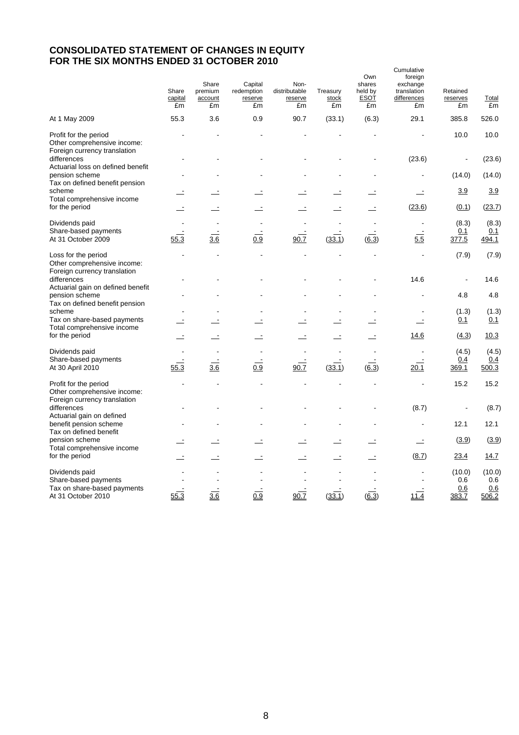# **CONSOLIDATED STATEMENT OF CHANGES IN EQUITY FOR THE SIX MONTHS ENDED 31 OCTOBER 2010**

|                                                                                             | Share<br>capital<br>£m | Share<br>premium<br>account<br>£m | Capital<br>redemption<br>reserve<br>£m | Non-<br>distributable<br>reserve<br>£m | Treasury<br>stock<br>£m | Own<br>shares<br>held by<br><b>ESOT</b><br>£m | Cumulative<br>foreign<br>exchange<br>translation<br>differences<br>£m | Retained<br>reserves<br>£m    | <b>Total</b><br>£m            |
|---------------------------------------------------------------------------------------------|------------------------|-----------------------------------|----------------------------------------|----------------------------------------|-------------------------|-----------------------------------------------|-----------------------------------------------------------------------|-------------------------------|-------------------------------|
| At 1 May 2009                                                                               | 55.3                   | 3.6                               | 0.9                                    | 90.7                                   | (33.1)                  | (6.3)                                         | 29.1                                                                  | 385.8                         | 526.0                         |
| Profit for the period<br>Other comprehensive income:<br>Foreign currency translation        |                        |                                   |                                        |                                        |                         |                                               |                                                                       | 10.0                          | 10.0                          |
| differences<br>Actuarial loss on defined benefit                                            |                        |                                   |                                        |                                        |                         |                                               | (23.6)                                                                |                               | (23.6)                        |
| pension scheme<br>Tax on defined benefit pension                                            |                        |                                   |                                        |                                        |                         |                                               |                                                                       | (14.0)                        | (14.0)                        |
| scheme<br>Total comprehensive income                                                        |                        |                                   |                                        |                                        |                         |                                               |                                                                       | 3.9                           | 3.9                           |
| for the period                                                                              |                        |                                   |                                        |                                        |                         |                                               | (23.6)                                                                | (0.1)                         | (23.7)                        |
| Dividends paid<br>Share-based payments<br>At 31 October 2009                                | 55.3                   | $\overline{3.6}$                  | 0.9                                    | 90.7                                   | (33.1)                  | (6.3)                                         | $\overline{5.5}$                                                      | (8.3)<br>0.1<br>377.5         | (8.3)<br>0.1<br>494.1         |
| Loss for the period<br>Other comprehensive income:                                          |                        |                                   |                                        |                                        |                         |                                               |                                                                       | (7.9)                         | (7.9)                         |
| Foreign currency translation<br>differences<br>Actuarial gain on defined benefit            |                        |                                   |                                        |                                        |                         |                                               | 14.6                                                                  |                               | 14.6                          |
| pension scheme<br>Tax on defined benefit pension                                            |                        |                                   |                                        |                                        |                         |                                               |                                                                       | 4.8                           | 4.8                           |
| scheme<br>Tax on share-based payments                                                       |                        |                                   |                                        |                                        |                         |                                               |                                                                       | (1.3)<br>0.1                  | (1.3)<br>0.1                  |
| Total comprehensive income<br>for the period                                                |                        |                                   |                                        |                                        |                         |                                               | <u>14.6</u>                                                           | (4.3)                         | 10.3                          |
| Dividends paid                                                                              |                        |                                   |                                        |                                        |                         |                                               |                                                                       | (4.5)                         | (4.5)                         |
| Share-based payments<br>At 30 April 2010                                                    | 55.3                   | 3.6                               | 0.9                                    | 90.7                                   | (33.1)                  | $\sqrt{6.3}$                                  | 20.1                                                                  | 0.4<br>369.1                  | 0.4<br>500.3                  |
| Profit for the period<br>Other comprehensive income:                                        |                        |                                   |                                        |                                        |                         |                                               |                                                                       | 15.2                          | 15.2                          |
| Foreign currency translation<br>differences                                                 |                        |                                   |                                        |                                        |                         |                                               | (8.7)                                                                 |                               | (8.7)                         |
| Actuarial gain on defined<br>benefit pension scheme<br>Tax on defined benefit               |                        |                                   |                                        |                                        |                         |                                               |                                                                       | 12.1                          | 12.1                          |
| pension scheme<br>Total comprehensive income                                                |                        |                                   |                                        |                                        |                         |                                               | $\equiv$                                                              | (3.9)                         | (3.9)                         |
| for the period                                                                              |                        |                                   |                                        |                                        |                         |                                               | (8.7)                                                                 | 23.4                          | 14.7                          |
| Dividends paid<br>Share-based payments<br>Tax on share-based payments<br>At 31 October 2010 | 55.3                   | 3.6                               | 0.9                                    | 90.7                                   | (33.1)                  | (6.3)                                         | 11.4                                                                  | (10.0)<br>0.6<br>0.6<br>383.7 | (10.0)<br>0.6<br>0.6<br>506.2 |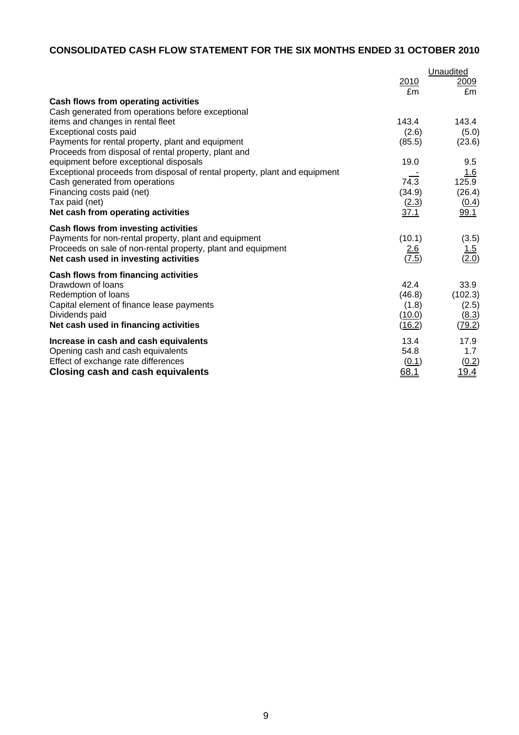# **CONSOLIDATED CASH FLOW STATEMENT FOR THE SIX MONTHS ENDED 31 OCTOBER 2010**

|                                                                            |                     | Unaudited           |
|----------------------------------------------------------------------------|---------------------|---------------------|
|                                                                            | 2010                | 2009                |
|                                                                            | £m                  | £m                  |
| Cash flows from operating activities                                       |                     |                     |
| Cash generated from operations before exceptional                          |                     |                     |
| items and changes in rental fleet                                          | 143.4               | 143.4               |
| Exceptional costs paid                                                     | (2.6)               | (5.0)               |
| Payments for rental property, plant and equipment                          | (85.5)              | (23.6)              |
| Proceeds from disposal of rental property, plant and                       |                     |                     |
| equipment before exceptional disposals                                     | 19.0                | 9.5                 |
| Exceptional proceeds from disposal of rental property, plant and equipment |                     | 1.6                 |
| Cash generated from operations                                             | 74.3                | 125.9               |
| Financing costs paid (net)                                                 | (34.9)              | (26.4)              |
| Tax paid (net)                                                             | (2.3)               | (0.4)               |
| Net cash from operating activities                                         | 37.1                | 99.1                |
| <b>Cash flows from investing activities</b>                                |                     |                     |
| Payments for non-rental property, plant and equipment                      | (10.1)              | (3.5)               |
| Proceeds on sale of non-rental property, plant and equipment               |                     |                     |
| Net cash used in investing activities                                      | $\frac{2.6}{(7.5)}$ | $\frac{1.5}{(2.0)}$ |
| Cash flows from financing activities                                       |                     |                     |
| Drawdown of loans                                                          | 42.4                | 33.9                |
| Redemption of loans                                                        | (46.8)              | (102.3)             |
| Capital element of finance lease payments                                  | (1.8)               | (2.5)               |
| Dividends paid                                                             | (10.0)              | (8.3)               |
| Net cash used in financing activities                                      | (16.2)              | (79.2)              |
|                                                                            |                     |                     |
| Increase in cash and cash equivalents                                      | 13.4                | 17.9                |
| Opening cash and cash equivalents                                          | 54.8                | 1.7                 |
| Effect of exchange rate differences                                        | (0.1)               | (0.2)               |
| Closing cash and cash equivalents                                          | 68.1                | <u> 19.4</u>        |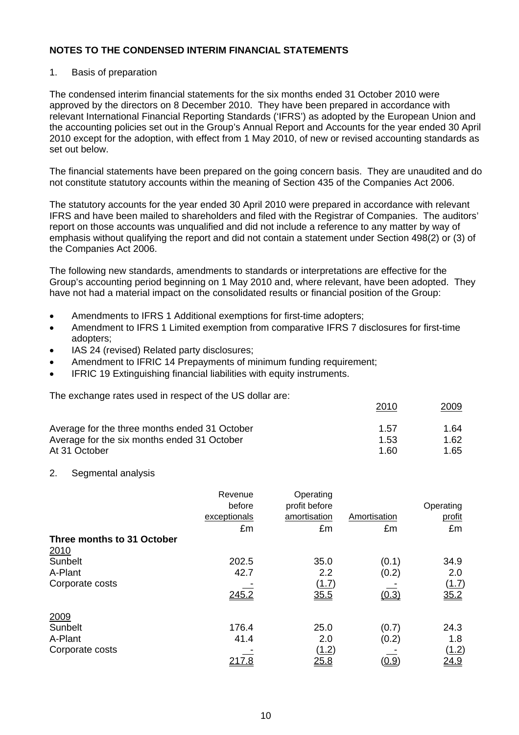#### 1. Basis of preparation

The condensed interim financial statements for the six months ended 31 October 2010 were approved by the directors on 8 December 2010. They have been prepared in accordance with relevant International Financial Reporting Standards ('IFRS') as adopted by the European Union and the accounting policies set out in the Group's Annual Report and Accounts for the year ended 30 April 2010 except for the adoption, with effect from 1 May 2010, of new or revised accounting standards as set out below.

The financial statements have been prepared on the going concern basis. They are unaudited and do not constitute statutory accounts within the meaning of Section 435 of the Companies Act 2006.

The statutory accounts for the year ended 30 April 2010 were prepared in accordance with relevant IFRS and have been mailed to shareholders and filed with the Registrar of Companies. The auditors' report on those accounts was unqualified and did not include a reference to any matter by way of emphasis without qualifying the report and did not contain a statement under Section 498(2) or (3) of the Companies Act 2006.

The following new standards, amendments to standards or interpretations are effective for the Group's accounting period beginning on 1 May 2010 and, where relevant, have been adopted. They have not had a material impact on the consolidated results or financial position of the Group:

- Amendments to IFRS 1 Additional exemptions for first-time adopters;
- Amendment to IFRS 1 Limited exemption from comparative IFRS 7 disclosures for first-time adopters;
- IAS 24 (revised) Related party disclosures;
- Amendment to IFRIC 14 Prepayments of minimum funding requirement;
- IFRIC 19 Extinguishing financial liabilities with equity instruments.

The exchange rates used in respect of the US dollar are:

| Average for the three months ended 31 October | 1.57 | 1.64 |
|-----------------------------------------------|------|------|
| Average for the six months ended 31 October   | 1.53 | 1.62 |
| At 31 October                                 | 1.60 | 1.65 |

2010 2009

#### 2. Segmental analysis

|                            | Revenue       | Operating     |              |              |
|----------------------------|---------------|---------------|--------------|--------------|
|                            | before        | profit before |              | Operating    |
|                            | exceptionals  | amortisation  | Amortisation | profit       |
|                            | £m            | £m            | £m           | £m           |
| Three months to 31 October |               |               |              |              |
| 2010                       |               |               |              |              |
| Sunbelt                    | 202.5         | 35.0          | (0.1)        | 34.9         |
| A-Plant                    | 42.7          | 2.2           | (0.2)        | 2.0          |
| Corporate costs            |               | (1.7)         |              | (1.7)        |
|                            | 245.2         | 35.5          | (0.3)        | 35.2         |
| 2009                       |               |               |              |              |
| Sunbelt                    | 176.4         | 25.0          | (0.7)        | 24.3         |
| A-Plant                    | 41.4          | 2.0           | (0.2)        | 1.8          |
| Corporate costs            |               | (1.2)         |              | <u>(1.2)</u> |
|                            | <u> 217.8</u> | <u>25.8</u>   | (0.9)        | <u>24.9</u>  |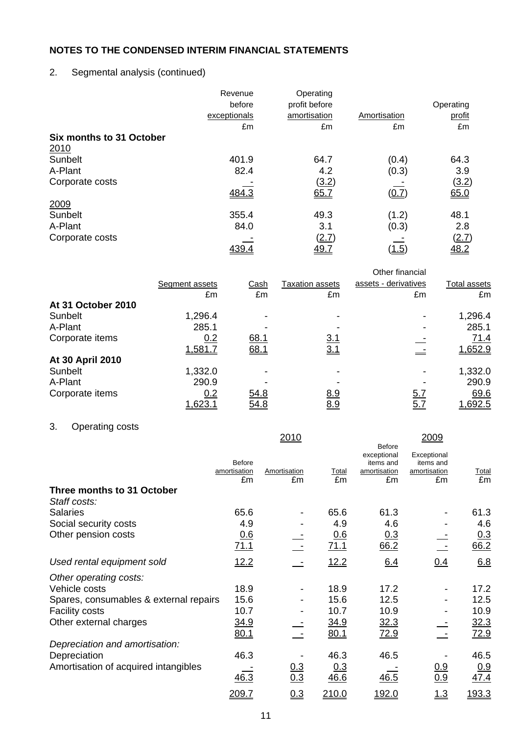2. Segmental analysis (continued)

|                          | Revenue<br>before | Operating<br>profit before |              | Operating |
|--------------------------|-------------------|----------------------------|--------------|-----------|
|                          | exceptionals      | amortisation               | Amortisation | profit    |
|                          | £m                | £m                         | £m           | £m        |
| Six months to 31 October |                   |                            |              |           |
| 2010                     |                   |                            |              |           |
| Sunbelt                  | 401.9             | 64.7                       | (0.4)        | 64.3      |
| A-Plant                  | 82.4              | 4.2                        | (0.3)        | 3.9       |
| Corporate costs          |                   | (3.2)                      |              | (3.2)     |
|                          | 484.3             | 65.7                       | (0.7)        | 65.0      |
| 2009                     |                   |                            |              |           |
| Sunbelt                  | 355.4             | 49.3                       | (1.2)        | 48.1      |
| A-Plant                  | 84.0              | 3.1                        | (0.3)        | 2.8       |
| Corporate costs          |                   | <u>(2.7)</u>               |              | (2.7)     |
|                          | <u>439.4</u>      | <u>49.7</u>                | <u>(1.5)</u> | 48.2      |

|                    | Segment assets | <u>Cash</u> | <b>Taxation assets</b> | Other financial<br>assets - derivatives | Total assets |
|--------------------|----------------|-------------|------------------------|-----------------------------------------|--------------|
|                    | £m             | £m          | £m                     | £m                                      | £m           |
| At 31 October 2010 |                |             |                        |                                         |              |
| Sunbelt            | 1,296.4        |             |                        |                                         | 1,296.4      |
| A-Plant            | 285.1          |             |                        |                                         | 285.1        |
| Corporate items    | 0.2            | 68.1        | <u>3.1</u>             |                                         | 71.4         |
|                    | 1,581.7        | 68.1        | <u>3.1</u>             |                                         | 1,652.9      |
| At 30 April 2010   |                |             |                        |                                         |              |
| Sunbelt            | 1,332.0        |             |                        |                                         | 1,332.0      |
| A-Plant            | 290.9          |             |                        |                                         | 290.9        |
| Corporate items    | 0.2            | 54.8        | <u>8.9</u>             | <u>5.7</u>                              | 69.6         |
|                    | 1,623.         | 54.8        | 8.9                    | <u>5.7</u>                              | 1,692.5      |

# 3. Operating costs

|                                            |                               | 2010              |             | <b>Before</b>                            | 2009                                     |              |
|--------------------------------------------|-------------------------------|-------------------|-------------|------------------------------------------|------------------------------------------|--------------|
|                                            | <b>Before</b><br>amortisation | Amortisation      | Total       | exceptional<br>items and<br>amortisation | Exceptional<br>items and<br>amortisation | <u>Total</u> |
|                                            | £m                            | £m                | £m          | £m                                       | £m                                       | £m           |
| Three months to 31 October<br>Staff costs: |                               |                   |             |                                          |                                          |              |
| <b>Salaries</b>                            | 65.6                          |                   | 65.6        | 61.3                                     |                                          | 61.3         |
| Social security costs                      | 4.9                           |                   | 4.9         | 4.6                                      |                                          | 4.6          |
| Other pension costs                        | 0.6<br><u>71.1</u>            |                   | 0.6<br>71.1 | <u>0.3</u><br>66.2                       |                                          | 0.3<br>66.2  |
| Used rental equipment sold                 | 12.2                          |                   | 12.2        | 6.4                                      | 0.4                                      | 6.8          |
| Other operating costs:                     |                               |                   |             |                                          |                                          |              |
| Vehicle costs                              | 18.9                          |                   | 18.9        | 17.2                                     |                                          | 17.2         |
| Spares, consumables & external repairs     | 15.6                          |                   | 15.6        | 12.5                                     |                                          | 12.5         |
| <b>Facility costs</b>                      | 10.7                          |                   | 10.7        | 10.9                                     |                                          | 10.9         |
| Other external charges                     | <u>34.9</u>                   |                   | <u>34.9</u> | 32.3                                     |                                          | <u>32.3</u>  |
|                                            | 80.1                          |                   | 80.1        | 72.9                                     |                                          | 72.9         |
| Depreciation and amortisation:             |                               |                   |             |                                          |                                          |              |
| Depreciation                               | 46.3                          |                   | 46.3        | 46.5                                     |                                          | 46.5         |
| Amortisation of acquired intangibles       | 46.3                          | $\frac{0.3}{0.3}$ | 0.3<br>46.6 | 46.5                                     | $\frac{0.9}{0.9}$                        | 0.9<br>47.4  |
|                                            | <u> 209.7</u>                 | 0.3               | 210.0       | 192.0                                    | 1.3                                      | <u>193.3</u> |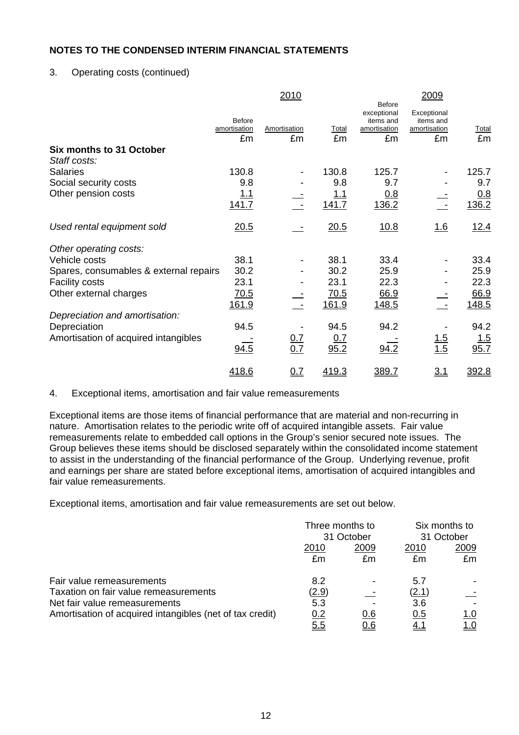# 3. Operating costs (continued)

|                                          |                                     | 2010               |             |                                                          | 2009                                           |             |
|------------------------------------------|-------------------------------------|--------------------|-------------|----------------------------------------------------------|------------------------------------------------|-------------|
|                                          | <b>Before</b><br>amortisation<br>£m | Amortisation<br>£m | Total<br>£m | Before<br>exceptional<br>items and<br>amortisation<br>£m | Exceptional<br>items and<br>amortisation<br>£m | Total<br>£m |
| Six months to 31 October<br>Staff costs: |                                     |                    |             |                                                          |                                                |             |
| <b>Salaries</b>                          | 130.8                               |                    | 130.8       | 125.7                                                    |                                                | 125.7       |
| Social security costs                    | 9.8                                 |                    | 9.8         | 9.7                                                      |                                                | 9.7         |
| Other pension costs                      | <u> 1.1</u>                         |                    | <u> 1.1</u> | 0.8                                                      |                                                | 0.8         |
|                                          | 141.7                               |                    | 141.7       | 136.2                                                    |                                                | 136.2       |
| Used rental equipment sold               | 20.5                                |                    | 20.5        | 10.8                                                     | 1.6                                            | 12.4        |
| Other operating costs:                   |                                     |                    |             |                                                          |                                                |             |
| Vehicle costs                            | 38.1                                |                    | 38.1        | 33.4                                                     |                                                | 33.4        |
| Spares, consumables & external repairs   | 30.2                                |                    | 30.2        | 25.9                                                     |                                                | 25.9        |
| <b>Facility costs</b>                    | 23.1                                |                    | 23.1        | 22.3                                                     |                                                | 22.3        |
| Other external charges                   | 70.5                                |                    | 70.5        | 66.9                                                     |                                                | 66.9        |
|                                          | 161.9                               |                    | 161.9       | 148.5                                                    |                                                | 148.5       |
| Depreciation and amortisation:           |                                     |                    |             |                                                          |                                                |             |
| Depreciation                             | 94.5                                |                    | 94.5        | 94.2                                                     |                                                | 94.2        |
| Amortisation of acquired intangibles     |                                     |                    | <u>0.7</u>  |                                                          |                                                | <u> 1.5</u> |
|                                          | 94.5                                | $\frac{0.7}{0.7}$  | 95.2        | 94.2                                                     | $\frac{1.5}{1.5}$                              | 95.7        |
|                                          | 418.6                               | 0.7                | 419.3       | 389.7                                                    | <u>3.1</u>                                     | 392.8       |

#### 4. Exceptional items, amortisation and fair value remeasurements

Exceptional items are those items of financial performance that are material and non-recurring in nature. Amortisation relates to the periodic write off of acquired intangible assets. Fair value remeasurements relate to embedded call options in the Group's senior secured note issues. The Group believes these items should be disclosed separately within the consolidated income statement to assist in the understanding of the financial performance of the Group. Underlying revenue, profit and earnings per share are stated before exceptional items, amortisation of acquired intangibles and fair value remeasurements.

Exceptional items, amortisation and fair value remeasurements are set out below.

|                                                          | Three months to<br>31 October |            | Six months to<br>31 October |                          |
|----------------------------------------------------------|-------------------------------|------------|-----------------------------|--------------------------|
|                                                          | 2010                          | 2009       | 2010                        | 2009                     |
|                                                          | £m                            | £m         | £m                          | £m                       |
| Fair value remeasurements                                | 8.2                           |            | 5.7                         |                          |
| Taxation on fair value remeasurements                    | <u>(2.9)</u>                  |            | (2.1)                       | $\overline{\phantom{a}}$ |
| Net fair value remeasurements                            | 5.3                           |            | 3.6                         |                          |
| Amortisation of acquired intangibles (net of tax credit) | 0.2                           | 0.6        | 0.5                         | <u>1.0</u>               |
|                                                          | <u>5.5</u>                    | <u>0.6</u> |                             | <u> 1.0</u>              |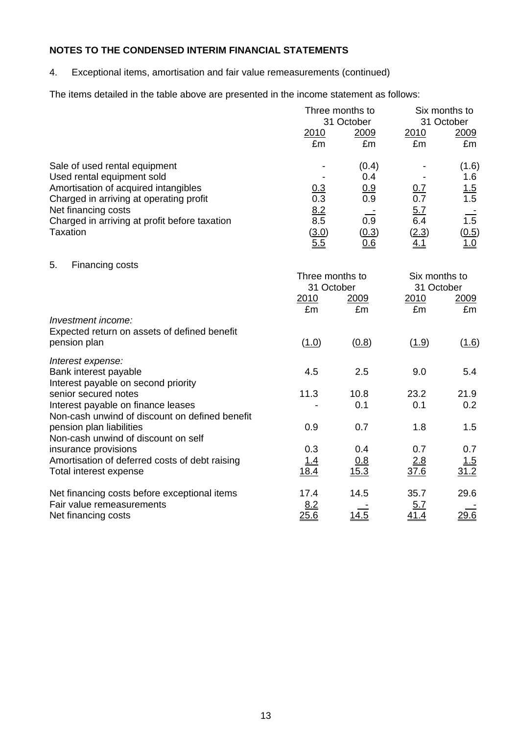4. Exceptional items, amortisation and fair value remeasurements (continued)

The items detailed in the table above are presented in the income statement as follows:

|                                                                                                                                                                                                                                           |                                             | Three months to<br>31 October                                  | Six months to<br>31 October                     |                                                                |  |
|-------------------------------------------------------------------------------------------------------------------------------------------------------------------------------------------------------------------------------------------|---------------------------------------------|----------------------------------------------------------------|-------------------------------------------------|----------------------------------------------------------------|--|
|                                                                                                                                                                                                                                           | 2010<br>£m                                  | 2009<br>£m                                                     | 2010<br>£m                                      | 2009<br>£m                                                     |  |
| Sale of used rental equipment<br>Used rental equipment sold<br>Amortisation of acquired intangibles<br>Charged in arriving at operating profit<br>Net financing costs<br>Charged in arriving at profit before taxation<br><b>Taxation</b> | 0.3<br>0.3<br>8.2<br>8.5<br>(3.0)<br>5.5    | (0.4)<br>0.4<br>0.9<br>0.9<br>$\overline{0.9}$<br>(0.3)<br>0.6 | 0.7<br>0.7<br>5.7<br>6.4<br>(2.3)<br><u>4.1</u> | (1.6)<br>1.6<br>1.5<br>1.5<br>$\overline{1.5}$<br>(0.5)<br>1.0 |  |
| 5.<br>Financing costs                                                                                                                                                                                                                     | Three months to<br>31 October<br>2010<br>£m | 2009<br>£m                                                     | Six months to<br>31 October<br>2010<br>£m       | 2009<br>£m                                                     |  |
| Investment income:<br>Expected return on assets of defined benefit<br>pension plan                                                                                                                                                        | (1.0)                                       | (0.8)                                                          | (1.9)                                           | (1.6)                                                          |  |
| Interest expense:<br>Bank interest payable<br>Interest payable on second priority                                                                                                                                                         | 4.5                                         | 2.5                                                            | 9.0                                             | 5.4                                                            |  |
| senior secured notes<br>Interest payable on finance leases<br>Non-cash unwind of discount on defined benefit                                                                                                                              | 11.3                                        | 10.8<br>0.1                                                    | 23.2<br>0.1                                     | 21.9<br>0.2                                                    |  |
| pension plan liabilities<br>Non-cash unwind of discount on self                                                                                                                                                                           | 0.9                                         | 0.7                                                            | 1.8                                             | 1.5                                                            |  |
| insurance provisions<br>Amortisation of deferred costs of debt raising<br>Total interest expense                                                                                                                                          | 0.3<br><u>1.4</u><br>18.4                   | 0.4<br>0.8<br>15.3                                             | 0.7<br>2.8<br>37.6                              | 0.7<br>1.5<br>31.2                                             |  |
| Net financing costs before exceptional items<br>Fair value remeasurements<br>Net financing costs                                                                                                                                          | 17.4<br>8.2<br>25.6                         | 14.5<br>14.5                                                   | 35.7<br>5.7<br><u>41.4</u>                      | 29.6<br>29.6                                                   |  |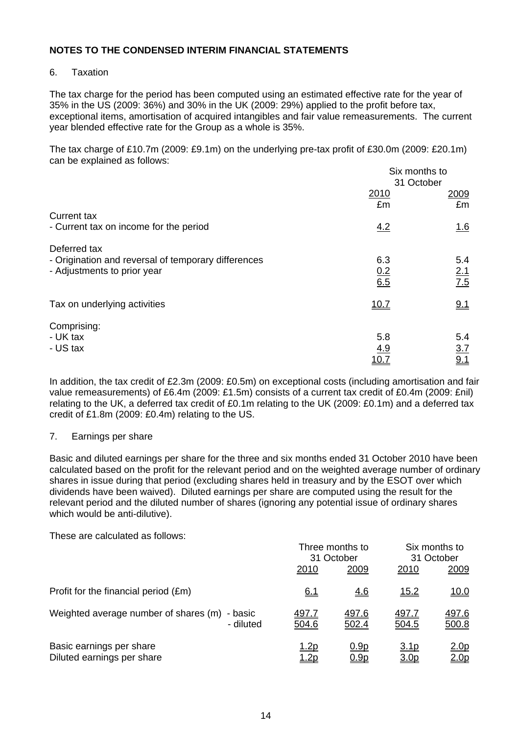## 6. Taxation

The tax charge for the period has been computed using an estimated effective rate for the year of 35% in the US (2009: 36%) and 30% in the UK (2009: 29%) applied to the profit before tax, exceptional items, amortisation of acquired intangibles and fair value remeasurements. The current year blended effective rate for the Group as a whole is 35%.

The tax charge of £10.7m (2009: £9.1m) on the underlying pre-tax profit of £30.0m (2009: £20.1m) can be explained as follows:  $\mathbf{S}$  is monotonic to the total distribution of  $\mathbf{S}$ 

|                                                                                                    | Six months to<br>31 October |                          |
|----------------------------------------------------------------------------------------------------|-----------------------------|--------------------------|
|                                                                                                    | 2010<br>£m                  | 2009<br>£m               |
| <b>Current tax</b><br>- Current tax on income for the period                                       | 4.2                         | <u>1.6</u>               |
| Deferred tax<br>- Origination and reversal of temporary differences<br>- Adjustments to prior year | 6.3<br>$\frac{0.2}{6.5}$    | 5.4<br>$\frac{2.1}{7.5}$ |
| Tax on underlying activities                                                                       | 10.7                        | 9.1                      |
| Comprising:<br>- UK tax<br>- US tax                                                                | 5.8<br>4.9                  | 5.4<br>$\frac{3.7}{9.1}$ |

In addition, the tax credit of £2.3m (2009: £0.5m) on exceptional costs (including amortisation and fair value remeasurements) of £6.4m (2009: £1.5m) consists of a current tax credit of £0.4m (2009: £nil) relating to the UK, a deferred tax credit of £0.1m relating to the UK (2009: £0.1m) and a deferred tax credit of £1.8m (2009: £0.4m) relating to the US.

#### 7. Earnings per share

Basic and diluted earnings per share for the three and six months ended 31 October 2010 have been calculated based on the profit for the relevant period and on the weighted average number of ordinary shares in issue during that period (excluding shares held in treasury and by the ESOT over which dividends have been waived). Diluted earnings per share are computed using the result for the relevant period and the diluted number of shares (ignoring any potential issue of ordinary shares which would be anti-dilutive).

These are calculated as follows:

|                                                            | Three months to<br>31 October |                            | Six months to<br>31 October |                                      |
|------------------------------------------------------------|-------------------------------|----------------------------|-----------------------------|--------------------------------------|
|                                                            | 2010                          | 2009                       | 2010                        | 2009                                 |
| Profit for the financial period (£m)                       | <u>6.1</u>                    | <u>4.6</u>                 | <u>15.2</u>                 | <u>10.0</u>                          |
| Weighted average number of shares (m) - basic<br>- diluted | <u>497.7</u><br>504.6         | 497.6<br>502.4             | <u>497.7</u><br>504.5       | 497.6<br>500.8                       |
| Basic earnings per share<br>Diluted earnings per share     | 1.2p<br><u> 1.2p</u>          | <u>0.9p</u><br><u>0.9p</u> | <u>3.1p</u><br><u>3.0p</u>  | 2.0 <sub>p</sub><br>2.0 <sub>P</sub> |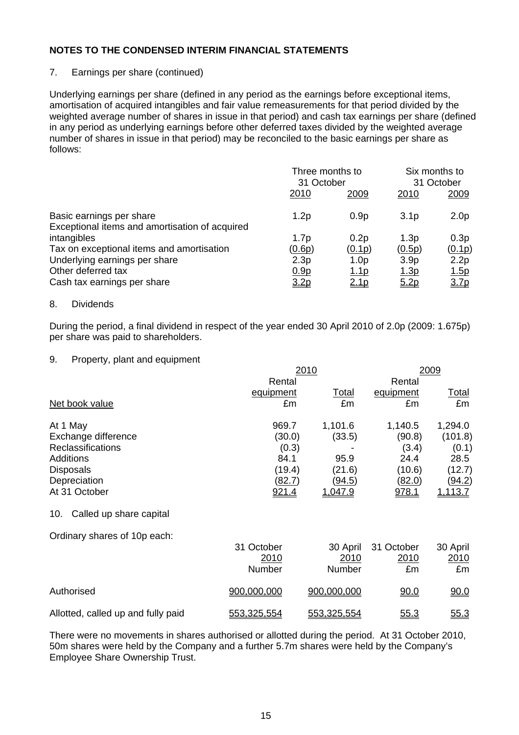## 7. Earnings per share (continued)

Underlying earnings per share (defined in any period as the earnings before exceptional items, amortisation of acquired intangibles and fair value remeasurements for that period divided by the weighted average number of shares in issue in that period) and cash tax earnings per share (defined in any period as underlying earnings before other deferred taxes divided by the weighted average number of shares in issue in that period) may be reconciled to the basic earnings per share as follows:

|                                                                            | Three months to<br>31 October |                  | Six months to<br>31 October |                  |
|----------------------------------------------------------------------------|-------------------------------|------------------|-----------------------------|------------------|
|                                                                            | 2010                          | 2009             | 2010                        | 2009             |
| Basic earnings per share<br>Exceptional items and amortisation of acquired | 1.2p                          | 0.9 <sub>p</sub> | 3.1 <sub>p</sub>            | 2.0 <sub>p</sub> |
| intangibles                                                                | 1.7 <sub>p</sub>              | 0.2p             | 1.3 <sub>p</sub>            | 0.3p             |
| Tax on exceptional items and amortisation                                  | (0.6p)                        | (0.1p)           | (0.5p)                      | (0.1p)           |
| Underlying earnings per share                                              | 2.3p                          | 1.0 <sub>p</sub> | 3.9 <sub>p</sub>            | 2.2p             |
| Other deferred tax                                                         | 0.9 <sub>p</sub>              | <u>1.1p</u>      | <u>1.3p</u>                 | 1.5p             |
| Cash tax earnings per share                                                | 3.2 <sub>p</sub>              | 2.1p             | 5.2p                        | 3.7 <sub>p</sub> |

#### 8. Dividends

During the period, a final dividend in respect of the year ended 30 April 2010 of 2.0p (2009: 1.675p) per share was paid to shareholders.

#### 9. Property, plant and equipment

|                                |               | 2010          |               |                |  |  |
|--------------------------------|---------------|---------------|---------------|----------------|--|--|
|                                | Rental        |               | Rental        |                |  |  |
|                                | equipment     | Total         | equipment     | <u>Total</u>   |  |  |
| Net book value                 | £m            | £m            | £m            | £m             |  |  |
| At 1 May                       | 969.7         | 1,101.6       | 1,140.5       | 1,294.0        |  |  |
| Exchange difference            | (30.0)        | (33.5)        | (90.8)        | (101.8)        |  |  |
| <b>Reclassifications</b>       | (0.3)         |               | (3.4)         | (0.1)          |  |  |
| <b>Additions</b>               | 84.1          | 95.9          | 24.4          | 28.5           |  |  |
| <b>Disposals</b>               | (19.4)        | (21.6)        | (10.6)        | (12.7)         |  |  |
| Depreciation                   | <u>(82.7)</u> | <u>(94.5)</u> | <u>(82.0)</u> | <u>(94.2)</u>  |  |  |
| At 31 October                  | 921.4         | 1,047.9       | 978.1         | <u>1,113.7</u> |  |  |
| Called up share capital<br>10. |               |               |               |                |  |  |

Ordinary shares of 10p each:

|                                    | 31 October<br>2010<br>Number | 2010<br>Number | 30 April 31 October<br>2010<br>£m | 30 April<br><u>2010</u><br>£m |
|------------------------------------|------------------------------|----------------|-----------------------------------|-------------------------------|
| Authorised                         | 900,000,000                  | 900,000,000    | <u>90.0</u>                       | 90.0                          |
| Allotted, called up and fully paid | 553,325,554                  | 553,325,554    | 55.3                              | <u>55.3</u>                   |

There were no movements in shares authorised or allotted during the period. At 31 October 2010, 50m shares were held by the Company and a further 5.7m shares were held by the Company's Employee Share Ownership Trust.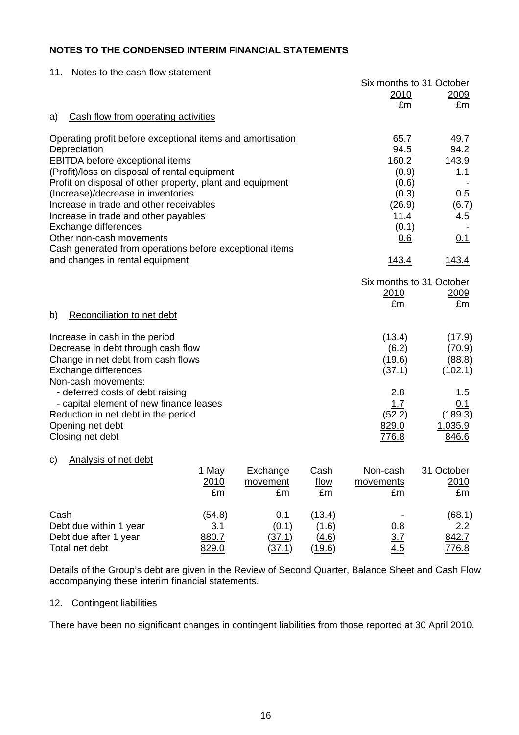| 11.                                                                                        | Notes to the cash flow statement                           |        |               |        |                   |                          |
|--------------------------------------------------------------------------------------------|------------------------------------------------------------|--------|---------------|--------|-------------------|--------------------------|
|                                                                                            |                                                            |        |               |        |                   | Six months to 31 October |
|                                                                                            |                                                            |        |               |        | <u>2010</u><br>£m | 2009<br>£m               |
| a)                                                                                         | Cash flow from operating activities                        |        |               |        |                   |                          |
|                                                                                            | Operating profit before exceptional items and amortisation |        |               |        | 65.7              | 49.7                     |
| Depreciation                                                                               |                                                            |        |               |        | 94.5              | 94.2                     |
|                                                                                            | <b>EBITDA</b> before exceptional items                     |        |               |        | 160.2             | 143.9                    |
|                                                                                            | (Profit)/loss on disposal of rental equipment              |        |               |        | (0.9)             | 1.1                      |
|                                                                                            | Profit on disposal of other property, plant and equipment  |        |               |        | (0.6)             |                          |
|                                                                                            | (Increase)/decrease in inventories                         |        |               |        | (0.3)             | 0.5                      |
|                                                                                            | Increase in trade and other receivables                    |        |               |        | (26.9)            | (6.7)                    |
|                                                                                            | Increase in trade and other payables                       |        |               |        | 11.4              | 4.5                      |
| Exchange differences                                                                       |                                                            |        |               |        | (0.1)             |                          |
| Other non-cash movements                                                                   |                                                            |        |               |        | 0.6               | 0.1                      |
| Cash generated from operations before exceptional items<br>and changes in rental equipment | <u>143.4</u>                                               | 143.4  |               |        |                   |                          |
|                                                                                            |                                                            |        |               |        |                   | Six months to 31 October |
|                                                                                            |                                                            |        |               |        | <u> 2010</u>      | 2009                     |
|                                                                                            |                                                            |        |               |        | £m                | £m                       |
| b)                                                                                         | Reconciliation to net debt                                 |        |               |        |                   |                          |
| Increase in cash in the period                                                             |                                                            |        |               |        | (13.4)            | (17.9)                   |
|                                                                                            | Decrease in debt through cash flow                         |        |               |        | (6.2)             | (70.9)                   |
|                                                                                            | Change in net debt from cash flows                         |        |               |        | (19.6)            | (88.8)                   |
| Exchange differences                                                                       |                                                            |        |               |        | (37.1)            | (102.1)                  |
| Non-cash movements:                                                                        |                                                            |        |               |        |                   |                          |
|                                                                                            | - deferred costs of debt raising                           |        |               |        | 2.8               | 1.5                      |
|                                                                                            | - capital element of new finance leases                    |        |               |        | 1.7               | 0.1                      |
|                                                                                            | Reduction in net debt in the period                        |        |               |        | (52.2)            | (189.3)                  |
| Opening net debt<br>Closing net debt                                                       |                                                            |        |               |        | 829.0             | 1,035.9<br>846.6         |
|                                                                                            |                                                            |        |               |        | <u>776.8</u>      |                          |
| <b>Analysis of net debt</b><br>C)                                                          |                                                            |        |               |        |                   |                          |
|                                                                                            |                                                            | 1 May  | Exchange      | Cash   | Non-cash          | 31 October               |
|                                                                                            |                                                            | 2010   | movement      | flow   | movements         | 2010                     |
|                                                                                            |                                                            | £m     | £m            | £m     | £m                | £m                       |
| Cash                                                                                       |                                                            | (54.8) | 0.1           | (13.4) |                   | (68.1)                   |
| Debt due within 1 year                                                                     |                                                            | 3.1    | (0.1)         | (1.6)  | 0.8               | 2.2                      |
| Debt due after 1 year                                                                      |                                                            | 880.7  | (37.1)        | (4.6)  | 3.7               | 842.7                    |
| Total net debt                                                                             |                                                            | 829.0  | <u>(37.1)</u> | (19.6) | 4.5               | <u>776.8</u>             |

Details of the Group's debt are given in the Review of Second Quarter, Balance Sheet and Cash Flow accompanying these interim financial statements.

#### 12. Contingent liabilities

There have been no significant changes in contingent liabilities from those reported at 30 April 2010.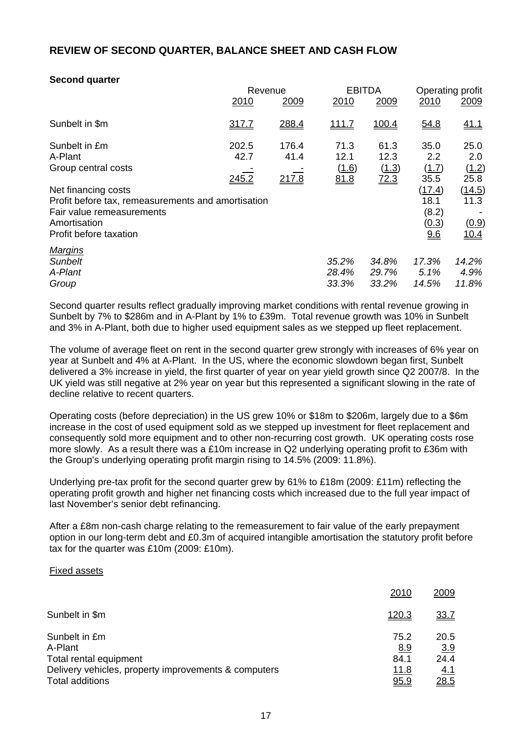# **REVIEW OF SECOND QUARTER, BALANCE SHEET AND CASH FLOW**

## **Second quarter**

|                                                    | Revenue |       |              | <b>EBITDA</b> | Operating profit |             |
|----------------------------------------------------|---------|-------|--------------|---------------|------------------|-------------|
|                                                    | 2010    | 2009  | 2010         | 2009          | 2010             | <u>2009</u> |
| Sunbelt in \$m                                     | 317.7   | 288.4 | <u>111.7</u> | 100.4         | 54.8             | 41.1        |
| Sunbelt in £m                                      | 202.5   | 176.4 | 71.3         | 61.3          | 35.0             | 25.0        |
| A-Plant                                            | 42.7    | 41.4  | 12.1         | 12.3          | 2.2              | 2.0         |
| Group central costs                                |         |       | (1.6)        | (1.3)         | (1.7)            | (1.2)       |
|                                                    | 245.2   | 217.8 | 81.8         | 72.3          | 35.5             | 25.8        |
| Net financing costs                                |         |       |              |               | (17.4)           | (14.5)      |
| Profit before tax, remeasurements and amortisation |         |       |              |               | 18.1             | 11.3        |
| Fair value remeasurements                          |         |       |              |               | (8.2)            |             |
| Amortisation                                       |         |       |              |               | <u>(0.3)</u>     | (0.9)       |
| Profit before taxation                             |         |       |              |               | 9.6              | <u>10.4</u> |
| <b>Margins</b>                                     |         |       |              |               |                  |             |
| <b>Sunbelt</b>                                     |         |       | 35.2%        | 34.8%         | 17.3%            | 14.2%       |
| A-Plant                                            |         |       | 28.4%        | 29.7%         | $5.1\%$          | 4.9%        |
| Group                                              |         |       | 33.3%        | 33.2%         | 14.5%            | 11.8%       |

Second quarter results reflect gradually improving market conditions with rental revenue growing in Sunbelt by 7% to \$286m and in A-Plant by 1% to £39m. Total revenue growth was 10% in Sunbelt and 3% in A-Plant, both due to higher used equipment sales as we stepped up fleet replacement.

The volume of average fleet on rent in the second quarter grew strongly with increases of 6% year on year at Sunbelt and 4% at A-Plant. In the US, where the economic slowdown began first, Sunbelt delivered a 3% increase in yield, the first quarter of year on year yield growth since Q2 2007/8. In the UK yield was still negative at 2% year on year but this represented a significant slowing in the rate of decline relative to recent quarters.

Operating costs (before depreciation) in the US grew 10% or \$18m to \$206m, largely due to a \$6m increase in the cost of used equipment sold as we stepped up investment for fleet replacement and consequently sold more equipment and to other non-recurring cost growth. UK operating costs rose more slowly. As a result there was a £10m increase in Q2 underlying operating profit to £36m with the Group's underlying operating profit margin rising to 14.5% (2009: 11.8%).

Underlying pre-tax profit for the second quarter grew by 61% to £18m (2009: £11m) reflecting the operating profit growth and higher net financing costs which increased due to the full year impact of last November's senior debt refinancing.

After a £8m non-cash charge relating to the remeasurement to fair value of the early prepayment option in our long-term debt and £0.3m of acquired intangible amortisation the statutory profit before tax for the quarter was £10m (2009: £10m).

#### Fixed assets

|                                                      | 2010  | 2009        |
|------------------------------------------------------|-------|-------------|
| Sunbelt in \$m                                       | 120.3 | <u>33.7</u> |
| Sunbelt in £m                                        | 75.2  | 20.5        |
| A-Plant                                              | 8.9   | 3.9         |
| Total rental equipment                               | 84.1  | 24.4        |
| Delivery vehicles, property improvements & computers | 11.8  | <u>4.1</u>  |
| <b>Total additions</b>                               | 95.9  | 28.5        |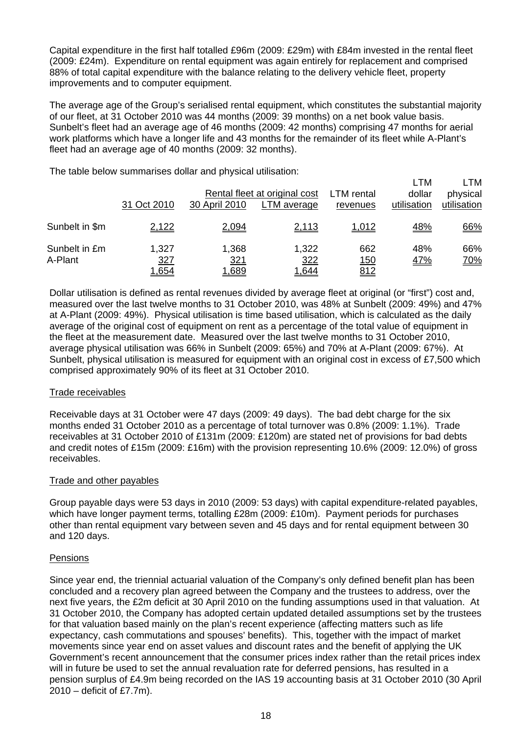Capital expenditure in the first half totalled £96m (2009: £29m) with £84m invested in the rental fleet (2009: £24m). Expenditure on rental equipment was again entirely for replacement and comprised 88% of total capital expenditure with the balance relating to the delivery vehicle fleet, property improvements and to computer equipment.

The average age of the Group's serialised rental equipment, which constitutes the substantial majority of our fleet, at 31 October 2010 was 44 months (2009: 39 months) on a net book value basis. Sunbelt's fleet had an average age of 46 months (2009: 42 months) comprising 47 months for aerial work platforms which have a longer life and 43 months for the remainder of its fleet while A-Plant's fleet had an average age of 40 months (2009: 32 months).

The table below summarises dollar and physical utilisation:

|                          |                                     |                                     |                                              |                                  | LTM                   | ∟TM                     |
|--------------------------|-------------------------------------|-------------------------------------|----------------------------------------------|----------------------------------|-----------------------|-------------------------|
|                          | 31 Oct 2010                         | 30 April 2010                       | Rental fleet at original cost<br>LTM average | <b>LTM</b> rental<br>revenues    | dollar<br>utilisation | physical<br>utilisation |
| Sunbelt in \$m           | 2,122                               | 2,094                               | 2,113                                        | 1,012                            | <u>48%</u>            | 66%                     |
| Sunbelt in £m<br>A-Plant | 1,327<br><u>327</u><br><u>1,654</u> | 1,368<br><u>321</u><br><u>1,689</u> | 1,322<br>322<br><u>.,644</u>                 | 662<br><u> 150</u><br><u>812</u> | 48%<br><u>47%</u>     | 66%<br><u>70%</u>       |

Dollar utilisation is defined as rental revenues divided by average fleet at original (or "first") cost and, measured over the last twelve months to 31 October 2010, was 48% at Sunbelt (2009: 49%) and 47% at A-Plant (2009: 49%). Physical utilisation is time based utilisation, which is calculated as the daily average of the original cost of equipment on rent as a percentage of the total value of equipment in the fleet at the measurement date. Measured over the last twelve months to 31 October 2010, average physical utilisation was 66% in Sunbelt (2009: 65%) and 70% at A-Plant (2009: 67%). At Sunbelt, physical utilisation is measured for equipment with an original cost in excess of £7,500 which comprised approximately 90% of its fleet at 31 October 2010.

#### Trade receivables

Receivable days at 31 October were 47 days (2009: 49 days). The bad debt charge for the six months ended 31 October 2010 as a percentage of total turnover was 0.8% (2009: 1.1%). Trade receivables at 31 October 2010 of £131m (2009: £120m) are stated net of provisions for bad debts and credit notes of £15m (2009: £16m) with the provision representing 10.6% (2009: 12.0%) of gross receivables.

#### Trade and other payables

Group payable days were 53 days in 2010 (2009: 53 days) with capital expenditure-related payables, which have longer payment terms, totalling £28m (2009: £10m). Payment periods for purchases other than rental equipment vary between seven and 45 days and for rental equipment between 30 and 120 days.

# **Pensions**

Since year end, the triennial actuarial valuation of the Company's only defined benefit plan has been concluded and a recovery plan agreed between the Company and the trustees to address, over the next five years, the £2m deficit at 30 April 2010 on the funding assumptions used in that valuation. At 31 October 2010, the Company has adopted certain updated detailed assumptions set by the trustees for that valuation based mainly on the plan's recent experience (affecting matters such as life expectancy, cash commutations and spouses' benefits). This, together with the impact of market movements since year end on asset values and discount rates and the benefit of applying the UK Government's recent announcement that the consumer prices index rather than the retail prices index will in future be used to set the annual revaluation rate for deferred pensions, has resulted in a pension surplus of £4.9m being recorded on the IAS 19 accounting basis at 31 October 2010 (30 April 2010 – deficit of £7.7m).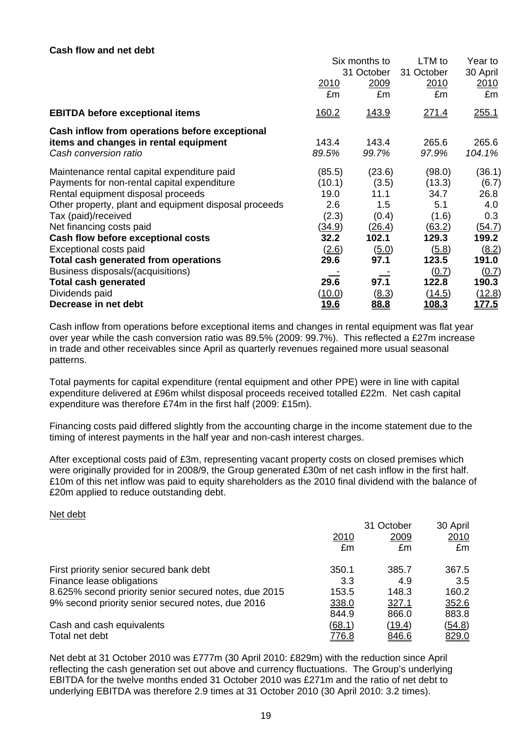#### **Cash flow and net debt**

|                                                       | Six months to<br>31 October |                     | LTM to       | Year to       |
|-------------------------------------------------------|-----------------------------|---------------------|--------------|---------------|
|                                                       |                             |                     | 31 October   | 30 April      |
|                                                       | 2010                        | 2009                | 2010         | 2010          |
|                                                       | £m                          | £m                  | £m           | £m            |
| <b>EBITDA before exceptional items</b>                | <u>160.2</u>                | 143.9               | <u>271.4</u> | 255.1         |
| Cash inflow from operations before exceptional        |                             |                     |              |               |
| items and changes in rental equipment                 | 143.4                       | 143.4               | 265.6        | 265.6         |
| Cash conversion ratio                                 | 89.5%                       | 99.7%               | 97.9%        | 104.1%        |
| Maintenance rental capital expenditure paid           | (85.5)                      | (23.6)              | (98.0)       | (36.1)        |
| Payments for non-rental capital expenditure           | (10.1)                      | (3.5)               | (13.3)       | (6.7)         |
| Rental equipment disposal proceeds                    | 19.0                        | 11.1                | 34.7         | 26.8          |
| Other property, plant and equipment disposal proceeds | 2.6                         | 1.5                 | 5.1          | 4.0           |
| Tax (paid)/received                                   | (2.3)                       | (0.4)               | (1.6)        | 0.3           |
| Net financing costs paid                              | <u>(34.9)</u>               | (26.4)              | (63.2)       | (54.7)        |
| Cash flow before exceptional costs                    | 32.2                        | 102.1               | 129.3        | 199.2         |
| Exceptional costs paid                                | (2.6)                       | (5.0)               | (5.8)        | (8.2)         |
| Total cash generated from operations                  | 29.6                        | 97.1                | 123.5        | 191.0         |
| Business disposals/(acquisitions)                     |                             |                     | (0.7)        | (0.7)         |
| <b>Total cash generated</b>                           | 29.6                        | 97.1                | 122.8        | 190.3         |
| Dividends paid                                        | <u>(10.0)</u>               | $\underline{(8.3)}$ | (14.5)       | <u>(12.8)</u> |
| Decrease in net debt                                  | <u>19.6</u>                 | 88.8                | 108.3        | 177.5         |

Cash inflow from operations before exceptional items and changes in rental equipment was flat year over year while the cash conversion ratio was 89.5% (2009: 99.7%). This reflected a £27m increase in trade and other receivables since April as quarterly revenues regained more usual seasonal patterns.

Total payments for capital expenditure (rental equipment and other PPE) were in line with capital expenditure delivered at £96m whilst disposal proceeds received totalled £22m. Net cash capital expenditure was therefore £74m in the first half (2009: £15m).

Financing costs paid differed slightly from the accounting charge in the income statement due to the timing of interest payments in the half year and non-cash interest charges.

After exceptional costs paid of £3m, representing vacant property costs on closed premises which were originally provided for in 2008/9, the Group generated £30m of net cash inflow in the first half. £10m of this net inflow was paid to equity shareholders as the 2010 final dividend with the balance of £20m applied to reduce outstanding debt.

#### Net debt

|                                                       |              | 30 April     |              |
|-------------------------------------------------------|--------------|--------------|--------------|
|                                                       | 2010         | 2009         | 2010         |
|                                                       | £m           | £m           | £m           |
| First priority senior secured bank debt               | 350.1        | 385.7        | 367.5        |
| Finance lease obligations                             | 3.3          | 4.9          | 3.5          |
| 8.625% second priority senior secured notes, due 2015 | 153.5        | 148.3        | 160.2        |
| 9% second priority senior secured notes, due 2016     | 338.0        | 327.1        | 352.6        |
|                                                       | 844.9        | 866.0        | 883.8        |
| Cash and cash equivalents                             | (68.1)       | (19.4)       | (54.8)       |
| Total net debt                                        | <u>776.8</u> | <u>846.6</u> | <u>829.0</u> |

Net debt at 31 October 2010 was £777m (30 April 2010: £829m) with the reduction since April reflecting the cash generation set out above and currency fluctuations. The Group's underlying EBITDA for the twelve months ended 31 October 2010 was £271m and the ratio of net debt to underlying EBITDA was therefore 2.9 times at 31 October 2010 (30 April 2010: 3.2 times).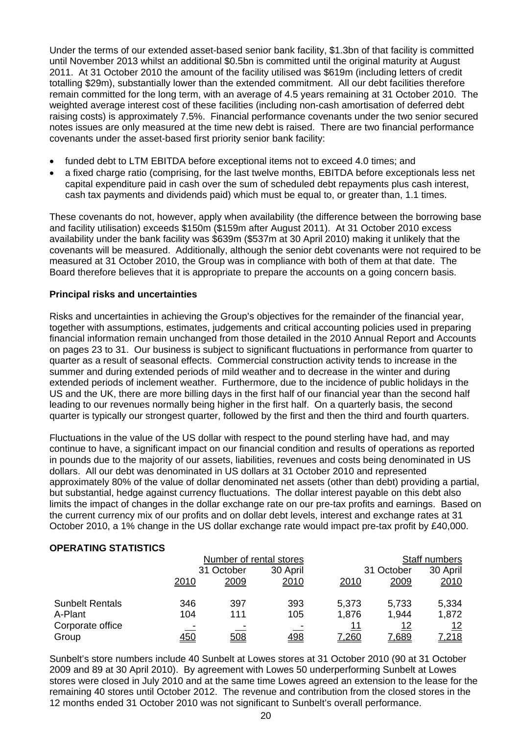Under the terms of our extended asset-based senior bank facility, \$1.3bn of that facility is committed until November 2013 whilst an additional \$0.5bn is committed until the original maturity at August 2011. At 31 October 2010 the amount of the facility utilised was \$619m (including letters of credit totalling \$29m), substantially lower than the extended commitment. All our debt facilities therefore remain committed for the long term, with an average of 4.5 years remaining at 31 October 2010. The weighted average interest cost of these facilities (including non-cash amortisation of deferred debt raising costs) is approximately 7.5%. Financial performance covenants under the two senior secured notes issues are only measured at the time new debt is raised. There are two financial performance covenants under the asset-based first priority senior bank facility:

- funded debt to LTM EBITDA before exceptional items not to exceed 4.0 times; and
- a fixed charge ratio (comprising, for the last twelve months, EBITDA before exceptionals less net capital expenditure paid in cash over the sum of scheduled debt repayments plus cash interest, cash tax payments and dividends paid) which must be equal to, or greater than, 1.1 times.

These covenants do not, however, apply when availability (the difference between the borrowing base and facility utilisation) exceeds \$150m (\$159m after August 2011). At 31 October 2010 excess availability under the bank facility was \$639m (\$537m at 30 April 2010) making it unlikely that the covenants will be measured. Additionally, although the senior debt covenants were not required to be measured at 31 October 2010, the Group was in compliance with both of them at that date. The Board therefore believes that it is appropriate to prepare the accounts on a going concern basis.

#### **Principal risks and uncertainties**

Risks and uncertainties in achieving the Group's objectives for the remainder of the financial year, together with assumptions, estimates, judgements and critical accounting policies used in preparing financial information remain unchanged from those detailed in the 2010 Annual Report and Accounts on pages 23 to 31. Our business is subject to significant fluctuations in performance from quarter to quarter as a result of seasonal effects. Commercial construction activity tends to increase in the summer and during extended periods of mild weather and to decrease in the winter and during extended periods of inclement weather. Furthermore, due to the incidence of public holidays in the US and the UK, there are more billing days in the first half of our financial year than the second half leading to our revenues normally being higher in the first half. On a quarterly basis, the second quarter is typically our strongest quarter, followed by the first and then the third and fourth quarters.

Fluctuations in the value of the US dollar with respect to the pound sterling have had, and may continue to have, a significant impact on our financial condition and results of operations as reported in pounds due to the majority of our assets, liabilities, revenues and costs being denominated in US dollars. All our debt was denominated in US dollars at 31 October 2010 and represented approximately 80% of the value of dollar denominated net assets (other than debt) providing a partial, but substantial, hedge against currency fluctuations. The dollar interest payable on this debt also limits the impact of changes in the dollar exchange rate on our pre-tax profits and earnings. Based on the current currency mix of our profits and on dollar debt levels, interest and exchange rates at 31 October 2010, a 1% change in the US dollar exchange rate would impact pre-tax profit by £40,000.

#### **OPERATING STATISTICS**

|                        |            | Number of rental stores |          |            | Staff numbers |              |  |
|------------------------|------------|-------------------------|----------|------------|---------------|--------------|--|
|                        | 31 October |                         | 30 April | 31 October |               | 30 April     |  |
|                        | 2010       | 2009                    | 2010     | 2010       | 2009          | 2010         |  |
| <b>Sunbelt Rentals</b> | 346        | 397                     | 393      | 5,373      | 5,733         | 5,334        |  |
| A-Plant                | 104        | 111                     | 105      | 1,876      | 1,944         | 1,872        |  |
| Corporate office       |            |                         |          | 11         | <u> 12</u>    | <u> 12</u>   |  |
| Group                  | <u>450</u> | 508                     | 498      | 7,260      | 7,689         | <u>7,218</u> |  |

Sunbelt's store numbers include 40 Sunbelt at Lowes stores at 31 October 2010 (90 at 31 October 2009 and 89 at 30 April 2010). By agreement with Lowes 50 underperforming Sunbelt at Lowes stores were closed in July 2010 and at the same time Lowes agreed an extension to the lease for the remaining 40 stores until October 2012. The revenue and contribution from the closed stores in the 12 months ended 31 October 2010 was not significant to Sunbelt's overall performance.